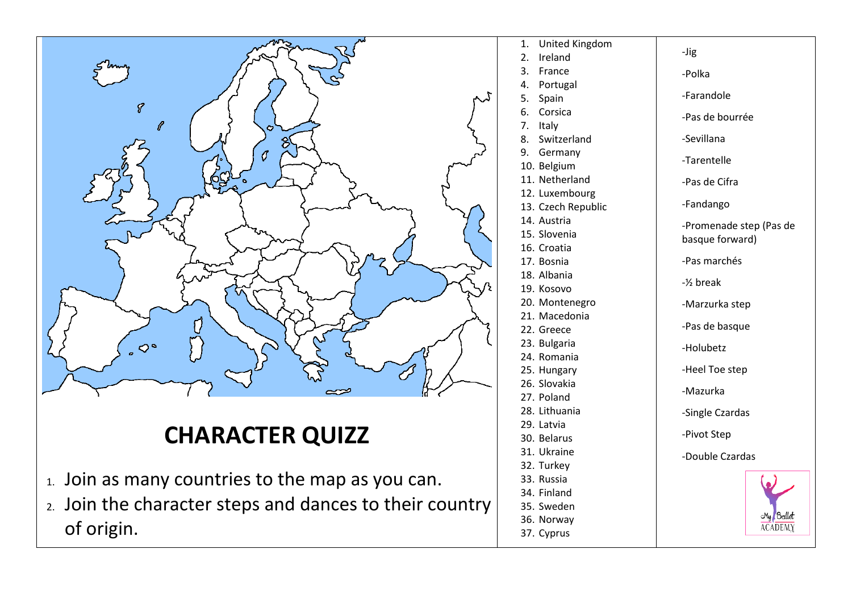

## **CHARACTER QUIZZ**

- 1. Join as many countries to the map as you can.
- 2. Join the character steps and dances to their country of origin.
- 1. United Kingdom -Jig 2. Ireland 3. France -Polka 4. Portugal -Farandole 5. Spain 6. Corsica -Pas de bourrée 7. Italy 8. Switzerland -Sevillana 9. Germany -Tarentelle 10. Belgium 11. Netherland -Pas de Cifra 12. Luxembourg -Fandango 13. Czech Republic 14. Austria -Promenade step (Pas de 15. Slovenia basque forward) 16. Croatia -Pas marchés 17. Bosnia 18. Albania -½ break 19. Kosovo 20. Montenegro -Marzurka step 21. Macedonia -Pas de basque 22. Greece 23. Bulgaria -Holubetz 24. Romania -Heel Toe step 25. Hungary 26. Slovakia -Mazurka 27. Poland 28. Lithuania -Single Czardas 29. Latvia -Pivot Step 30. Belarus 31. Ukraine -Double Czardas 32. Turkey 33. Russia 34. Finland 35. Sweden My Ballet 36. Norway **ACADEMY** 37. Cyprus